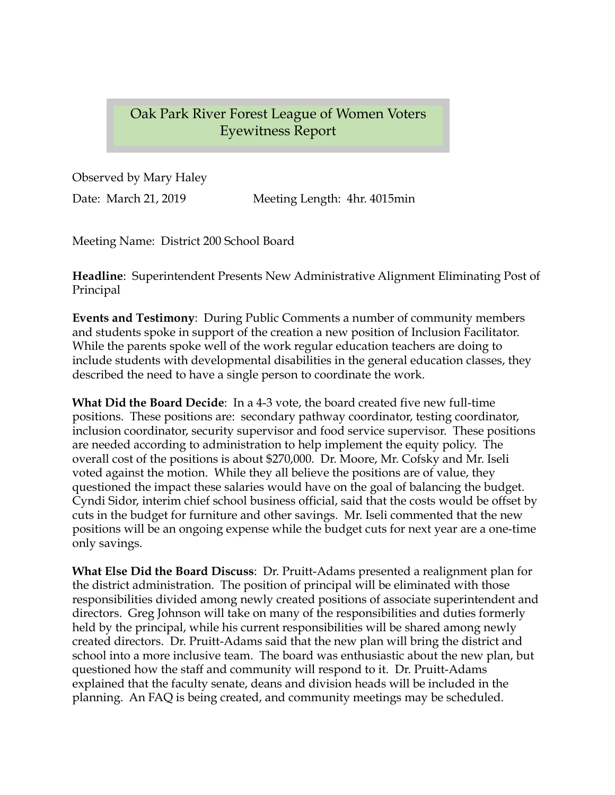## Oak Park River Forest League of Women Voters Eyewitness Report

Observed by Mary Haley Date: March 21, 2019 Meeting Length: 4hr. 4015min

Meeting Name: District 200 School Board

**Headline**: Superintendent Presents New Administrative Alignment Eliminating Post of Principal

**Events and Testimony**: During Public Comments a number of community members and students spoke in support of the creation a new position of Inclusion Facilitator. While the parents spoke well of the work regular education teachers are doing to include students with developmental disabilities in the general education classes, they described the need to have a single person to coordinate the work.

**What Did the Board Decide**: In a 4-3 vote, the board created five new full-time positions. These positions are: secondary pathway coordinator, testing coordinator, inclusion coordinator, security supervisor and food service supervisor. These positions are needed according to administration to help implement the equity policy. The overall cost of the positions is about \$270,000. Dr. Moore, Mr. Cofsky and Mr. Iseli voted against the motion. While they all believe the positions are of value, they questioned the impact these salaries would have on the goal of balancing the budget. Cyndi Sidor, interim chief school business official, said that the costs would be offset by cuts in the budget for furniture and other savings. Mr. Iseli commented that the new positions will be an ongoing expense while the budget cuts for next year are a one-time only savings.

**What Else Did the Board Discuss**: Dr. Pruitt-Adams presented a realignment plan for the district administration. The position of principal will be eliminated with those responsibilities divided among newly created positions of associate superintendent and directors. Greg Johnson will take on many of the responsibilities and duties formerly held by the principal, while his current responsibilities will be shared among newly created directors. Dr. Pruitt-Adams said that the new plan will bring the district and school into a more inclusive team. The board was enthusiastic about the new plan, but questioned how the staff and community will respond to it. Dr. Pruitt-Adams explained that the faculty senate, deans and division heads will be included in the planning. An FAQ is being created, and community meetings may be scheduled.